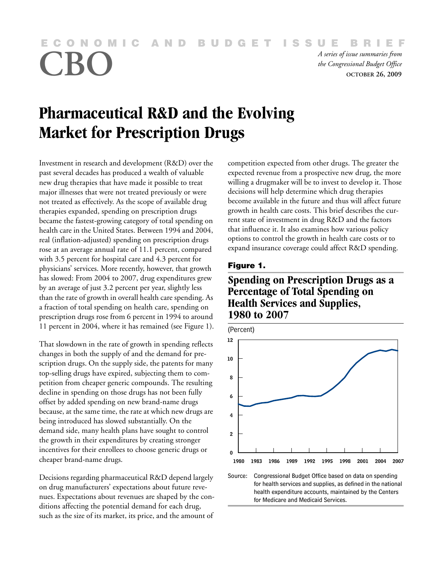<span id="page-0-0"></span>**NOMIC AND BUDGET IS** 

*A series of issue summaries from*<br>the Congressional Budget Office<br>oCTOBER 26, 2009 *the Congressional Budget Office* **OCTOBER 26, 2009**

# **Pharmaceutical R&D and the Evolving Market for Prescription Drugs**

Investment in research and development (R&D) over the past several decades has produced a wealth of valuable new drug therapies that have made it possible to treat major illnesses that were not treated previously or were not treated as effectively. As the scope of available drug therapies expanded, spending on prescription drugs became the fastest-growing category of total spending on health care in the United States. Between 1994 and 2004, real (inflation-adjusted) spending on prescription drugs rose at an average annual rate of 11.1 percent, compared with 3.5 percent for hospital care and 4.3 percent for physicians' services. More recently, however, that growth has slowed: From 2004 to 2007, drug expenditures grew by an average of just 3.2 percent per year, slightly less than the rate of growth in overall health care spending. As a fraction of total spending on health care, spending on prescription drugs rose from 6 percent in 1994 to around 11 percent in 2004, where it has remained (see Figure 1).

That slowdown in the rate of growth in spending reflects changes in both the supply of and the demand for prescription drugs. On the supply side, the patents for many top-selling drugs have expired, subjecting them to competition from cheaper generic compounds. The resulting decline in spending on those drugs has not been fully offset by added spending on new brand-name drugs because, at the same time, the rate at which new drugs are being introduced has slowed substantially. On the demand side, many health plans have sought to control the growth in their expenditures by creating stronger incentives for their enrollees to choose generic drugs or cheaper brand-name drugs.

Decisions regarding pharmaceutical R&D depend largely on drug manufacturers' expectations about future revenues. Expectations about revenues are shaped by the conditions affecting the potential demand for each drug, such as the size of its market, its price, and the amount of competition expected from other drugs. The greater the expected revenue from a prospective new drug, the more willing a drugmaker will be to invest to develop it. Those decisions will help determine which drug therapies become available in the future and thus will affect future growth in health care costs. This brief describes the current state of investment in drug R&D and the factors that influence it. It also examines how various policy options to control the growth in health care costs or to expand insurance coverage could affect R&D spending.

#### **Figure 1.**

# **Spending on Prescription Drugs as a Percentage of Total Spending on Health Services and Supplies, 1980 to 2007**



Source: Congressional Budget Office based on data on spending for health services and supplies, as defined in the national health expenditure accounts, maintained by the Centers for Medicare and Medicaid Services.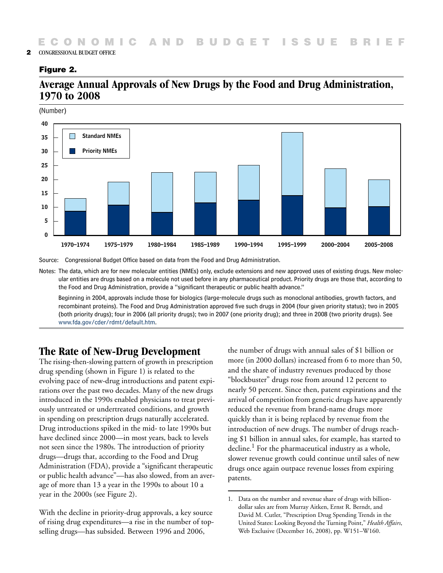#### **Figure 2.**

# **Average Annual Approvals of New Drugs by the Food and Drug Administration, 1970 to 2008**

(Number)



Source: Congressional Budget Office based on data from the Food and Drug Administration.

Notes: The data, which are for new molecular entities (NMEs) only, exclude extensions and new approved uses of existing drugs. New molecular entities are drugs based on a molecule not used before in any pharmaceutical product. Priority drugs are those that, according to the Food and Drug Administration, provide a "significant therapeutic or public health advance."

Beginning in 2004, approvals include those for biologics (large-molecule drugs such as monoclonal antibodies, growth factors, and recombinant proteins). The Food and Drug Administration approved five such drugs in 2004 (four given priority status); two in 2005 (both priority drugs); four in 2006 (all priority drugs); two in 2007 (one priority drug); and three in 2008 (two priority drugs). See [www.fda.gov/cder/rdmt/default.htm](http://www.fda.gov/Drugs/InformationOnDrugs/default.htm).

# **The Rate of New-Drug Development**

The rising-then-slowing pattern of growth in prescription drug spending (shown in [Figure 1\)](#page-0-0) is related to the evolving pace of new-drug introductions and patent expirations over the past two decades. Many of the new drugs introduced in the 1990s enabled physicians to treat previously untreated or undertreated conditions, and growth in spending on prescription drugs naturally accelerated. Drug introductions spiked in the mid- to late 1990s but have declined since 2000—in most years, back to levels not seen since the 1980s. The introduction of priority drugs—drugs that, according to the Food and Drug Administration (FDA), provide a "significant therapeutic or public health advance"—has also slowed, from an average of more than 13 a year in the 1990s to about 10 a year in the 2000s (see Figure 2).

With the decline in priority-drug approvals, a key source of rising drug expenditures—a rise in the number of topselling drugs—has subsided. Between 1996 and 2006,

the number of drugs with annual sales of \$1 billion or more (in 2000 dollars) increased from 6 to more than 50, and the share of industry revenues produced by those "blockbuster" drugs rose from around 12 percent to nearly 50 percent. Since then, patent expirations and the arrival of competition from generic drugs have apparently reduced the revenue from brand-name drugs more quickly than it is being replaced by revenue from the introduction of new drugs. The number of drugs reaching \$1 billion in annual sales, for example, has started to decline.1 For the pharmaceutical industry as a whole, slower revenue growth could continue until sales of new drugs once again outpace revenue losses from expiring patents.

<sup>1.</sup> Data on the number and revenue share of drugs with billiondollar sales are from Murray Aitken, Ernst R. Berndt, and David M. Cutler, "Prescription Drug Spending Trends in the United States: Looking Beyond the Turning Point," *Health Affairs*, Web Exclusive (December 16, 2008), pp. W151–W160.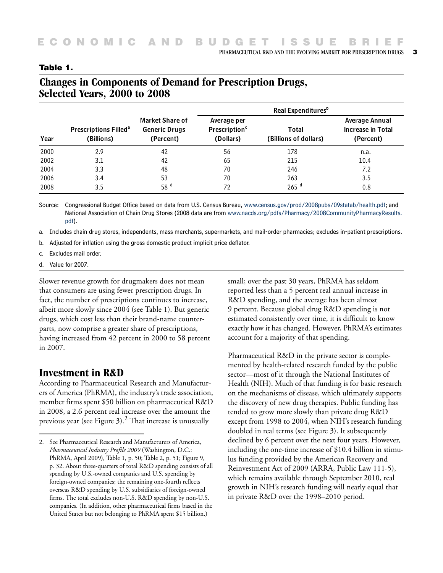PHARMACEUTICAL R&D AND THE EVOLVING MARKET FOR PRESCRIPTION DRUGS **3**

| Year | <b>Prescriptions Filled<sup>a</sup></b><br>(Billions) | Market Share of<br><b>Generic Drugs</b><br>(Percent) | Real Expenditures <sup>b</sup>                        |                                |                                                         |
|------|-------------------------------------------------------|------------------------------------------------------|-------------------------------------------------------|--------------------------------|---------------------------------------------------------|
|      |                                                       |                                                      | Average per<br>Prescription <sup>c</sup><br>(Dollars) | Total<br>(Billions of dollars) | Average Annual<br><b>Increase in Total</b><br>(Percent) |
| 2000 | 2.9                                                   | 42                                                   | 56                                                    | 178                            | n.a.                                                    |
| 2002 | 3.1                                                   | 42                                                   | 65                                                    | 215                            | 10.4                                                    |
| 2004 | 3.3                                                   | 48                                                   | 70                                                    | 246                            | 7.2                                                     |
| 2006 | 3.4                                                   | 53                                                   | 70                                                    | 263                            | 3.5                                                     |
| 2008 | 3.5                                                   | 58 <sup>d</sup>                                      | 72                                                    | $265$ <sup>d</sup>             | 0.8                                                     |

#### **Table 1.**

# **Changes in Components of Demand for Prescription Drugs, Selected Years, 2000 to 2008**

Source: Congressional Budget Office based on data from U.S. Census Bureau, [www.census.gov/prod/2008pubs/09statab/health.pdf](http://www.census.gov/prod/2008pubs/09statab/health.pdf)[; and](http://www.nacds.org/index.cfm)  National Association of Chain Drug Stores (2008 data are from www.nacds.org/pdfs/Pharmacy/2008CommunityPharmacyResults. pdf).

a. Includes chain drug stores, independents, mass merchants, supermarkets, and mail-order pharmacies; excludes in-patient prescriptions.

- b. Adjusted for inflation using the gross domestic product implicit price deflator.
- c. Excludes mail order.
- d. Value for 2007.

Slower revenue growth for drugmakers does not mean that consumers are using fewer prescription drugs. In fact, the number of prescriptions continues to increase, albeit more slowly since 2004 (see Table 1). But generic drugs, which cost less than their brand-name counterparts, now comprise a greater share of prescriptions, having increased from 42 percent in 2000 to 58 percent in 2007.

## **Investment in R&D**

According to Pharmaceutical Research and Manufacturers of America (PhRMA), the industry's trade association, member firms spent \$50 billion on pharmaceutical R&D in 2008, a 2.6 percent real increase over the amount the previous year (see [Figure 3\)](#page-3-0).<sup>2</sup> That increase is unusually

small; over the past 30 years, PhRMA has seldom reported less than a 5 percent real annual increase in R&D spending, and the average has been almost 9 percent. Because global drug R&D spending is not estimated consistently over time, it is difficult to know exactly how it has changed. However, PhRMA's estimates account for a majority of that spending.

Pharmaceutical R&D in the private sector is complemented by health-related research funded by the public sector—most of it through the National Institutes of Health (NIH). Much of that funding is for basic research on the mechanisms of disease, which ultimately supports the discovery of new drug therapies. Public funding has tended to grow more slowly than private drug R&D except from 1998 to 2004, when NIH's research funding doubled in real terms (see Figure 3). It subsequently declined by 6 percent over the next four years. However, including the one-time increase of \$10.4 billion in stimulus funding provided by the American Recovery and Reinvestment Act of 2009 (ARRA, Public Law 111-5), which remains available through September 2010, real growth in NIH's research funding will nearly equal that in private R&D over the 1998–2010 period.

<sup>2.</sup> See Pharmaceutical Research and Manufacturers of America, *Pharmaceutical Industry Profile 2009* (Washington, D.C.: PhRMA, April 2009), Table 1, p. 50; Table 2, p. 51; Figure 9, p. 32. About three-quarters of total R&D spending consists of all spending by U.S.-owned companies and U.S. spending by foreign-owned companies; the remaining one-fourth reflects overseas R&D spending by U.S. subsidiaries of foreign-owned firms. The total excludes non-U.S. R&D spending by non-U.S. companies. (In addition, other pharmaceutical firms based in the United States but not belonging to PhRMA spent \$15 billion.)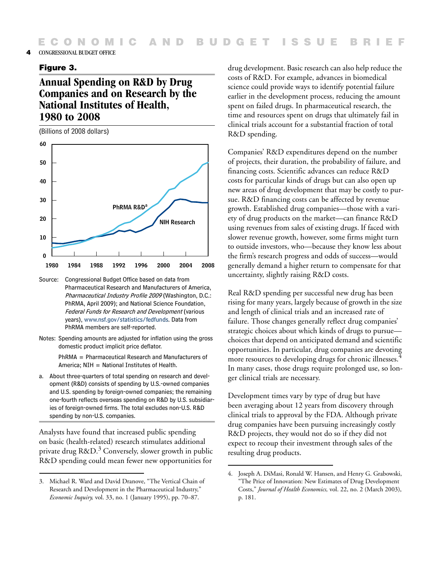#### <span id="page-3-0"></span>**4** CONGRESSIONAL BUDGET OFFICE

#### **Figure 3.**

# **Annual Spending on R&D by Drug Companies and on Research by the National Institutes of Health, 1980 to 2008**

(Billions of 2008 dollars)



- Source: Congressional Budget Office based on data from Pharmaceutical Research and Manufacturers of America, Pharmaceutical Industry Profile 2009 (Washington, D.C.: PhRMA, April 2009); and National Science Foundation, Federal Funds for Research and Development [\(various](http://www.nsf.gov/statistics/fedfunds/)  years), www.nsf.gov/statistics/fedfunds. Data from PhRMA members are self-reported.
- Notes: Spending amounts are adjusted for inflation using the gross domestic product implicit price deflator.

PhRMA = Pharmaceutical Research and Manufacturers of America; NIH = National Institutes of Health.

a. About three-quarters of total spending on research and development (R&D) consists of spending by U.S.-owned companies and U.S. spending by foreign-owned companies; the remaining one-fourth reflects overseas spending on R&D by U.S. subsidiaries of foreign-owned firms. The total excludes non-U.S. R&D spending by non-U.S. companies.

Analysts have found that increased public spending on basic (health-related) research stimulates additional private drug  $R&D.^3$  Conversely, slower growth in public R&D spending could mean fewer new opportunities for

drug development. Basic research can also help reduce the costs of R&D. For example, advances in biomedical science could provide ways to identify potential failure earlier in the development process, reducing the amount spent on failed drugs. In pharmaceutical research, the time and resources spent on drugs that ultimately fail in clinical trials account for a substantial fraction of total R&D spending.

Companies' R&D expenditures depend on the number of projects, their duration, the probability of failure, and financing costs. Scientific advances can reduce R&D costs for particular kinds of drugs but can also open up new areas of drug development that may be costly to pursue. R&D financing costs can be affected by revenue growth. Established drug companies—those with a variety of drug products on the market—can finance R&D using revenues from sales of existing drugs. If faced with slower revenue growth, however, some firms might turn to outside investors, who—because they know less about the firm's research progress and odds of success—would generally demand a higher return to compensate for that uncertainty, slightly raising R&D costs.

Real R&D spending per successful new drug has been rising for many years, largely because of growth in the size and length of clinical trials and an increased rate of failure. Those changes generally reflect drug companies' strategic choices about which kinds of drugs to pursue choices that depend on anticipated demand and scientific opportunities. In particular, drug companies are devoting more resources to developing drugs for chronic illnesses.<sup>4</sup> In many cases, those drugs require prolonged use, so longer clinical trials are necessary.

Development times vary by type of drug but have been averaging about 12 years from discovery through clinical trials to approval by the FDA. Although private drug companies have been pursuing increasingly costly R&D projects, they would not do so if they did not expect to recoup their investment through sales of the resulting drug products.

<sup>3.</sup> Michael R. Ward and David Dranove, "The Vertical Chain of Research and Development in the Pharmaceutical Industry," *Economic Inquiry,* vol. 33, no. 1 (January 1995), pp. 70–87.

<sup>4.</sup> Joseph A. DiMasi, Ronald W. Hansen, and Henry G. Grabowski, "The Price of Innovation: New Estimates of Drug Development Costs," *Journal of Health Economics,* vol. 22, no. 2 (March 2003), p. 181.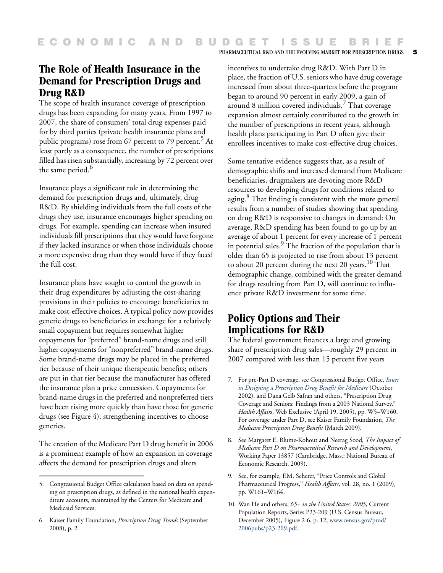# **The Role of Health Insurance in the Demand for Prescription Drugs and Drug R&D**

The scope of health insurance coverage of prescription drugs has been expanding for many years. From 1997 to 2007, the share of consumers' total drug expenses paid for by third parties (private health insurance plans and public programs) rose from 67 percent to 79 percent.<sup>5</sup> At least partly as a consequence, the number of prescriptions filled has risen substantially, increasing by 72 percent over the same period.<sup>6</sup>

Insurance plays a significant role in determining the demand for prescription drugs and, ultimately, drug R&D. By shielding individuals from the full costs of the drugs they use, insurance encourages higher spending on drugs. For example, spending can increase when insured individuals fill prescriptions that they would have forgone if they lacked insurance or when those individuals choose a more expensive drug than they would have if they faced the full cost.

Insurance plans have sought to control the growth in their drug expenditures by adjusting the cost-sharing provisions in their policies to encourage beneficiaries to make cost-effective choices. A typical policy now provides generic drugs to beneficiaries in exchange for a relatively small copayment but requires somewhat higher copayments for "preferred" brand-name drugs and still higher copayments for "nonpreferred" brand-name drugs. Some brand-name drugs may be placed in the preferred tier because of their unique therapeutic benefits; others are put in that tier because the manufacturer has offered the insurance plan a price concession. Copayments for brand-name drugs in the preferred and nonpreferred tiers have been rising more quickly than have those for generic drugs (see [Figure 4\)](#page-5-0), strengthening incentives to choose generics.

The creation of the Medicare Part D drug benefit in 2006 is a prominent example of how an expansion in coverage affects the demand for prescription drugs and alters

incentives to undertake drug R&D. With Part D in place, the fraction of U.S. seniors who have drug coverage increased from about three-quarters before the program began to around 90 percent in early 2009, a gain of around 8 million covered individuals.<sup>7</sup> That coverage expansion almost certainly contributed to the growth in the number of prescriptions in recent years, although health plans participating in Part D often give their enrollees incentives to make cost-effective drug choices.

PHARMACEUTICAL R&D AND THE EVOLVING MARKET FOR PRESCRIPTION DRUGS **5**

Some tentative evidence suggests that, as a result of demographic shifts and increased demand from Medicare beneficiaries, drugmakers are devoting more R&D resources to developing drugs for conditions related to aging.<sup>8</sup> That finding is consistent with the more general results from a number of studies showing that spending on drug R&D is responsive to changes in demand: On average, R&D spending has been found to go up by an average of about 1 percent for every increase of 1 percent in potential sales. $\overline{9}$  The fraction of the population that is older than 65 is projected to rise from about 13 percent to about 20 percent during the next 20 years.<sup>10</sup> That demographic change, combined with the greater demand for drugs resulting from Part D, will continue to influence private R&D investment for some time.

# **Policy Options and Their Implications for R&D**

The federal government finances a large and growing share of prescription drug sales—roughly 29 percent in 2007 compared with less than 15 percent five years

9. See, for example, F.M. Scherer, "Price Controls and Global Pharmaceutical Progress," *Health Affairs*, vol. 28, no. 1 (2009), pp. W161–W164.

<sup>5.</sup> Congressional Budget Office calculation based on data on spending on prescription drugs, as defined in the national health expenditure accounts, maintained by the Centers for Medicare and Medicaid Services.

<sup>6.</sup> Kaiser Family Foundation, *Prescription Drug Trends* (September 2008), p. 2.

<sup>7.</sup> For pre-Part D coverage, see Congressional Budget Office, *[Issues](http://www.cbo.gov/doc.cfm?index=3960)  in Designing a Prescription Drug Benefit for Medicare* (October 2002), and Dana Gelb Safran and others, "Prescription Drug Coverage and Seniors: Findings from a 2003 National Survey," *Health Affairs*, Web Exclusive (April 19, 2005), pp. W5–W160. For coverage under Part D, see Kaiser Family Foundation, *The Medicare Prescription Drug Benefit* (March 2009).

<sup>8.</sup> See Margaret E. Blume-Kohout and Neerag Sood, *The Impact of Medicare Part D on Pharmaceutical Research and Development*, Working Paper 13857 (Cambridge, Mass.: National Bureau of Economic Research, 2009).

<sup>10.</sup> Wan He and others, *65+ in the United States: 2005*, Current Population Reports, Series P23-209 (U.S. Census Bureau, December 2005), Figure 2-6, p. 12, [www.census.gov/prod/](http://www.census.gov/prod/2006pubs/p23-209.pdf) 2006pubs/p23-209.pdf.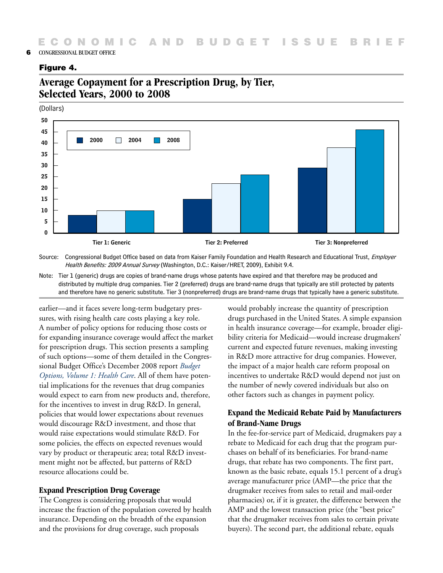#### <span id="page-5-0"></span>**6** CONGRESSIONAL BUDGET OFFICE

## **Figure 4.**

# **Average Copayment for a Prescription Drug, by Tier, Selected Years, 2000 to 2008**

(Dollars)



Source: Congressional Budget Office based on data from Kaiser Family Foundation and Health Research and Educational Trust, Employer Health Benefits: 2009 Annual Survey (Washington, D.C.: Kaiser/HRET, 2009), Exhibit 9.4.

Note: Tier 1 (generic) drugs are copies of brand-name drugs whose patents have expired and that therefore may be produced and distributed by multiple drug companies. Tier 2 (preferred) drugs are brand-name drugs that typically are still protected by patents and therefore have no generic substitute. Tier 3 (nonpreferred) drugs are brand-name drugs that typically have a generic substitute.

earlier—and it faces severe long-term budgetary pressures, with rising health care costs playing a key role. A number of policy options for reducing those costs or for expanding insurance coverage would affect the market for prescription drugs. This section presents a sampling of such options—some of them detailed in the Congressional Budget Office's December 2008 report *[Budget](http://www.cbo.gov/doc.cfm?index=9925)  Options, Volume 1: Health Care*. All of them have potential implications for the revenues that drug companies would expect to earn from new products and, therefore, for the incentives to invest in drug R&D. In general, policies that would lower expectations about revenues would discourage R&D investment, and those that would raise expectations would stimulate R&D. For some policies, the effects on expected revenues would vary by product or therapeutic area; total R&D investment might not be affected, but patterns of R&D resource allocations could be.

## **Expand Prescription Drug Coverage**

The Congress is considering proposals that would increase the fraction of the population covered by health insurance. Depending on the breadth of the expansion and the provisions for drug coverage, such proposals

would probably increase the quantity of prescription drugs purchased in the United States. A simple expansion in health insurance coverage—for example, broader eligibility criteria for Medicaid—would increase drugmakers' current and expected future revenues, making investing in R&D more attractive for drug companies. However, the impact of a major health care reform proposal on incentives to undertake R&D would depend not just on the number of newly covered individuals but also on other factors such as changes in payment policy.

# **Expand the Medicaid Rebate Paid by Manufacturers of Brand-Name Drugs**

In the fee-for-service part of Medicaid, drugmakers pay a rebate to Medicaid for each drug that the program purchases on behalf of its beneficiaries. For brand-name drugs, that rebate has two components. The first part, known as the basic rebate, equals 15.1 percent of a drug's average manufacturer price (AMP—the price that the drugmaker receives from sales to retail and mail-order pharmacies) or, if it is greater, the difference between the AMP and the lowest transaction price (the "best price" that the drugmaker receives from sales to certain private buyers). The second part, the additional rebate, equals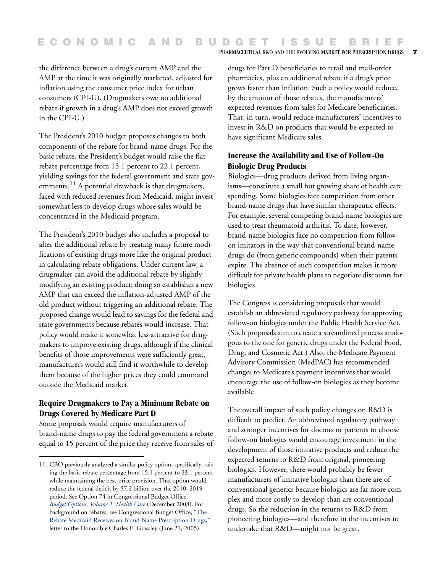the difference between a drug's current AMP and the AMP at the time it was originally marketed, adjusted for inflation using the consumer price index for urban consumers (CPI-U). (Drugmakers owe no additional rebate if growth in a drug's AMP does not exceed growth in the CPI-U.)

The President's 2010 budget proposes changes to both components of the rebate for brand-name drugs. For the basic rebate, the President's budget would raise the flat rebate percentage from 15.1 percent to 22.1 percent, yielding savings for the federal government and state governments. $^{11}$  A potential drawback is that drugmakers, faced with reduced revenues from Medicaid, might invest somewhat less to develop drugs whose sales would be concentrated in the Medicaid program.

The President's 2010 budget also includes a proposal to alter the additional rebate by treating many future modifications of existing drugs more like the original product in calculating rebate obligations. Under current law, a drugmaker can avoid the additional rebate by slightly modifying an existing product; doing so establishes a new AMP that can exceed the inflation-adjusted AMP of the old product without triggering an additional rebate. The proposed change would lead to savings for the federal and state governments because rebates would increase. That policy would make it somewhat less attractive for drugmakers to improve existing drugs, although if the clinical benefits of those improvements were sufficiently great, manufacturers would still find it worthwhile to develop them because of the higher prices they could command outside the Medicaid market.

## **Require Drugmakers to Pay a Minimum Rebate on Drugs Covered by Medicare Part D**

Some proposals would require manufacturers of brand-name drugs to pay the federal government a rebate equal to 15 percent of the price they receive from sales of drugs for Part D beneficiaries to retail and mail-order pharmacies, plus an additional rebate if a drug's price grows faster than inflation. Such a policy would reduce, by the amount of those rebates, the manufacturers' expected revenues from sales for Medicare beneficiaries. That, in turn, would reduce manufacturers' incentives to invest in R&D on products that would be expected to have significant Medicare sales.

#### **Increase the Availability and Use of Follow-On Biologic Drug Products**

Biologics—drug products derived from living organisms—constitute a small but growing share of health care spending. Some biologics face competition from other brand-name drugs that have similar therapeutic effects. For example, several competing brand-name biologics are used to treat rheumatoid arthritis. To date, however, brand-name biologics face no competition from followon imitators in the way that conventional brand-name drugs do (from generic compounds) when their patents expire. The absence of such competition makes it more difficult for private health plans to negotiate discounts for biologics.

The Congress is considering proposals that would establish an abbreviated regulatory pathway for approving follow-on biologics under the Public Health Service Act. (Such proposals aim to create a streamlined process analogous to the one for generic drugs under the Federal Food, Drug, and Cosmetic Act.) Also, the Medicare Payment Advisory Commission (MedPAC) has recommended changes to Medicare's payment incentives that would encourage the use of follow-on biologics as they become available.

The overall impact of such policy changes on R&D is difficult to predict. An abbreviated regulatory pathway and stronger incentives for doctors or patients to choose follow-on biologics would encourage investment in the development of those imitative products and reduce the expected returns to R&D from original, pioneering biologics. However, there would probably be fewer manufacturers of imitative biologics than there are of conventional generics because biologics are far more complex and more costly to develop than are conventional drugs. So the reduction in the returns to R&D from pioneering biologics—and therefore in the incentives to undertake that R&D—might not be great.

<sup>11.</sup> CBO previously analyzed a similar policy option, specifically, raising the basic rebate percentage from 15.1 percent to 23.1 percent while maintaining the best-price provision. That option would reduce the federal deficit by \$7.2 billion over the 2010–2019 period. See Option 74 in Congressional Budget Office, *[Budget Options, Volume 1: Health Care](http://www.cbo.gov/doc.cfm?index=9925)* (December 2008). For background on rebates, see Congressional Budget Office, "[The](http://www.cbo.gov/ftpdocs/64xx/doc6493/06-21-MedicaidRebate.pdf)  Rebate Medicaid Receives on Brand-Name Prescription Drugs," letter to the Honorable Charles E. Grassley (June 21, 2005).